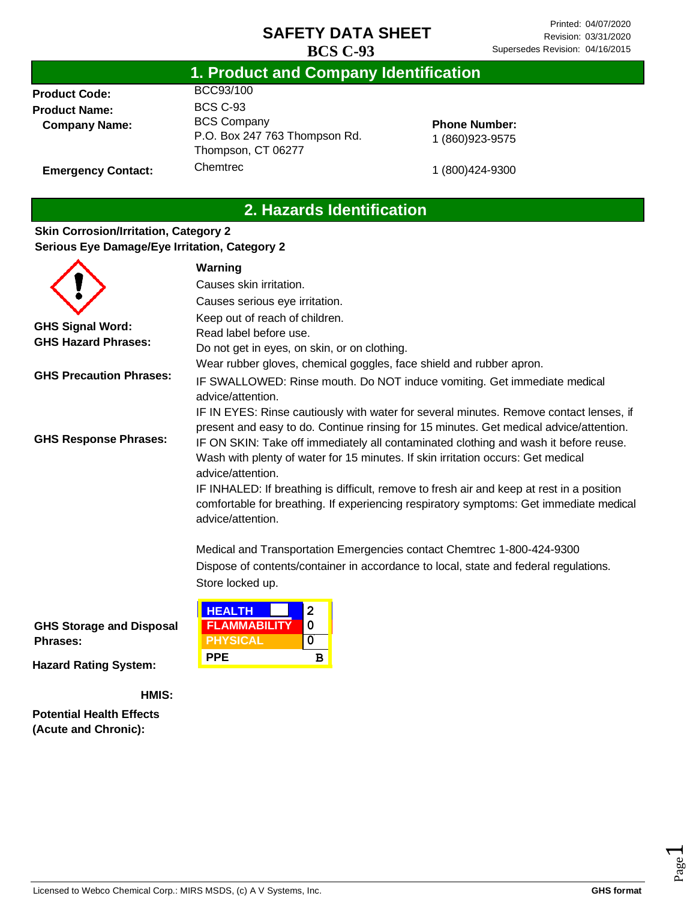|                      | .                             |  |
|----------------------|-------------------------------|--|
| <b>Product Code:</b> | BCC93/100                     |  |
| <b>Product Name:</b> | <b>BCS C-93</b>               |  |
| <b>Company Name:</b> | <b>BCS Company</b>            |  |
|                      | $D \cap R_{0}$ $247.763$ Thou |  |

Chemtrec

# **1. Product and Company Identification**

P.O. Box 247 763 Thompson Rd. Thompson, CT 06277

#### **Phone Number:** 1 (860)923-9575

1 (800)424-9300

# **2. Hazards Identification**

#### **Skin Corrosion/Irritation, Category 2 Serious Eye Damage/Eye Irritation, Category 2**

**Emergency Contact:**

|                                | Warning                                                                                                                                                                                                  |  |  |
|--------------------------------|----------------------------------------------------------------------------------------------------------------------------------------------------------------------------------------------------------|--|--|
|                                | Causes skin irritation.                                                                                                                                                                                  |  |  |
|                                | Causes serious eye irritation.                                                                                                                                                                           |  |  |
|                                | Keep out of reach of children.                                                                                                                                                                           |  |  |
| <b>GHS Signal Word:</b>        | Read label before use.                                                                                                                                                                                   |  |  |
| <b>GHS Hazard Phrases:</b>     | Do not get in eyes, on skin, or on clothing.                                                                                                                                                             |  |  |
|                                | Wear rubber gloves, chemical goggles, face shield and rubber apron.                                                                                                                                      |  |  |
| <b>GHS Precaution Phrases:</b> | IF SWALLOWED: Rinse mouth. Do NOT induce vomiting. Get immediate medical<br>advice/attention.                                                                                                            |  |  |
|                                | IF IN EYES: Rinse cautiously with water for several minutes. Remove contact lenses, if<br>present and easy to do. Continue rinsing for 15 minutes. Get medical advice/attention.                         |  |  |
| <b>GHS Response Phrases:</b>   | IF ON SKIN: Take off immediately all contaminated clothing and wash it before reuse.<br>Wash with plenty of water for 15 minutes. If skin irritation occurs: Get medical                                 |  |  |
|                                | advice/attention.                                                                                                                                                                                        |  |  |
|                                | IF INHALED: If breathing is difficult, remove to fresh air and keep at rest in a position<br>comfortable for breathing. If experiencing respiratory symptoms: Get immediate medical<br>advice/attention. |  |  |
|                                | Medical and Transportation Emergencies contact Chemtrec 1-800-424-9300                                                                                                                                   |  |  |
|                                | Dispose of contents/container in accordance to local, state and federal regulations.<br>Store locked up.                                                                                                 |  |  |
|                                | <b>HEALTH</b><br>2                                                                                                                                                                                       |  |  |

**FLAMMABILITY 0 PHYSICAL 0 PPE B**

**GHS Storage and Disposal Phrases:**

**Hazard Rating System:**

**HMIS:**

**Potential Health Effects (Acute and Chronic):**

Page  $\overline{\phantom{0}}$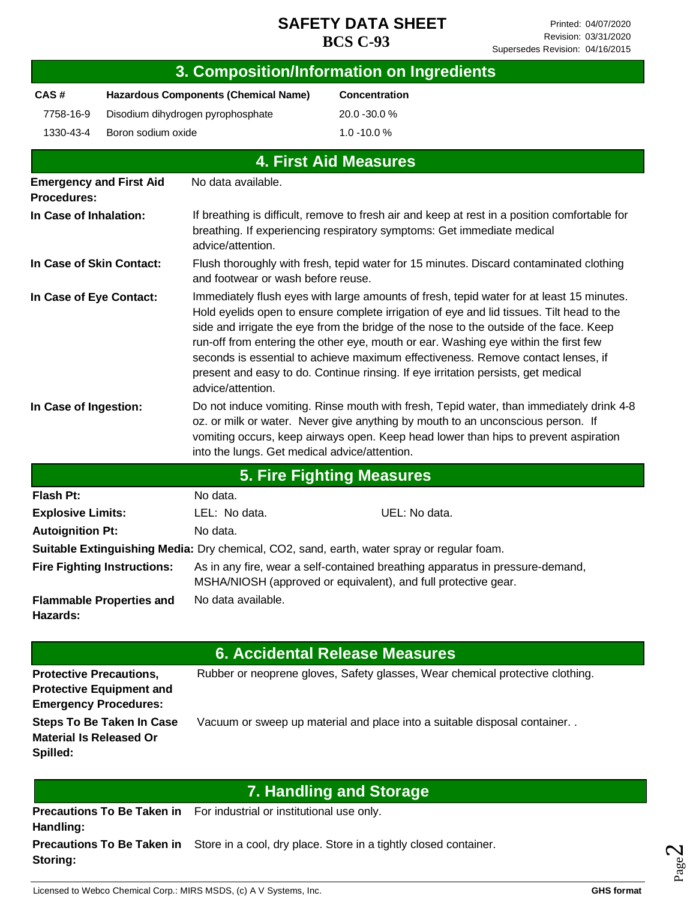|                                                                                                   |                                   |                                                                                                                                                                                                                                                                                                                    | 3. Composition/Information on Ingredients                                                                                                                                                                                                                                                                                                                                                                                                                                                                                                      |  |  |
|---------------------------------------------------------------------------------------------------|-----------------------------------|--------------------------------------------------------------------------------------------------------------------------------------------------------------------------------------------------------------------------------------------------------------------------------------------------------------------|------------------------------------------------------------------------------------------------------------------------------------------------------------------------------------------------------------------------------------------------------------------------------------------------------------------------------------------------------------------------------------------------------------------------------------------------------------------------------------------------------------------------------------------------|--|--|
| CAS#<br><b>Hazardous Components (Chemical Name)</b>                                               |                                   |                                                                                                                                                                                                                                                                                                                    | Concentration                                                                                                                                                                                                                                                                                                                                                                                                                                                                                                                                  |  |  |
| 7758-16-9                                                                                         | Disodium dihydrogen pyrophosphate |                                                                                                                                                                                                                                                                                                                    | 20.0 - 30.0 %                                                                                                                                                                                                                                                                                                                                                                                                                                                                                                                                  |  |  |
| Boron sodium oxide<br>1330-43-4                                                                   |                                   |                                                                                                                                                                                                                                                                                                                    | 1.0 -10.0%                                                                                                                                                                                                                                                                                                                                                                                                                                                                                                                                     |  |  |
|                                                                                                   |                                   |                                                                                                                                                                                                                                                                                                                    | <b>4. First Aid Measures</b>                                                                                                                                                                                                                                                                                                                                                                                                                                                                                                                   |  |  |
| <b>Emergency and First Aid</b>                                                                    |                                   | No data available.                                                                                                                                                                                                                                                                                                 |                                                                                                                                                                                                                                                                                                                                                                                                                                                                                                                                                |  |  |
| Procedures:                                                                                       |                                   |                                                                                                                                                                                                                                                                                                                    |                                                                                                                                                                                                                                                                                                                                                                                                                                                                                                                                                |  |  |
| In Case of Inhalation:                                                                            |                                   | If breathing is difficult, remove to fresh air and keep at rest in a position comfortable for<br>breathing. If experiencing respiratory symptoms: Get immediate medical<br>advice/attention.                                                                                                                       |                                                                                                                                                                                                                                                                                                                                                                                                                                                                                                                                                |  |  |
| In Case of Skin Contact:                                                                          |                                   | Flush thoroughly with fresh, tepid water for 15 minutes. Discard contaminated clothing<br>and footwear or wash before reuse.                                                                                                                                                                                       |                                                                                                                                                                                                                                                                                                                                                                                                                                                                                                                                                |  |  |
| In Case of Eye Contact:                                                                           |                                   | advice/attention.                                                                                                                                                                                                                                                                                                  | Immediately flush eyes with large amounts of fresh, tepid water for at least 15 minutes.<br>Hold eyelids open to ensure complete irrigation of eye and lid tissues. Tilt head to the<br>side and irrigate the eye from the bridge of the nose to the outside of the face. Keep<br>run-off from entering the other eye, mouth or ear. Washing eye within the first few<br>seconds is essential to achieve maximum effectiveness. Remove contact lenses, if<br>present and easy to do. Continue rinsing. If eye irritation persists, get medical |  |  |
| In Case of Ingestion:                                                                             |                                   | Do not induce vomiting. Rinse mouth with fresh, Tepid water, than immediately drink 4-8<br>oz. or milk or water. Never give anything by mouth to an unconscious person. If<br>vomiting occurs, keep airways open. Keep head lower than hips to prevent aspiration<br>into the lungs. Get medical advice/attention. |                                                                                                                                                                                                                                                                                                                                                                                                                                                                                                                                                |  |  |
|                                                                                                   |                                   |                                                                                                                                                                                                                                                                                                                    | <b>5. Fire Fighting Measures</b>                                                                                                                                                                                                                                                                                                                                                                                                                                                                                                               |  |  |
| <b>Flash Pt:</b>                                                                                  |                                   | No data.                                                                                                                                                                                                                                                                                                           |                                                                                                                                                                                                                                                                                                                                                                                                                                                                                                                                                |  |  |
| <b>Explosive Limits:</b>                                                                          |                                   | LEL: No data.                                                                                                                                                                                                                                                                                                      | UEL: No data.                                                                                                                                                                                                                                                                                                                                                                                                                                                                                                                                  |  |  |
| <b>Autoignition Pt:</b>                                                                           |                                   | No data.                                                                                                                                                                                                                                                                                                           |                                                                                                                                                                                                                                                                                                                                                                                                                                                                                                                                                |  |  |
|                                                                                                   |                                   |                                                                                                                                                                                                                                                                                                                    | Suitable Extinguishing Media: Dry chemical, CO2, sand, earth, water spray or regular foam.                                                                                                                                                                                                                                                                                                                                                                                                                                                     |  |  |
| <b>Fire Fighting Instructions:</b>                                                                |                                   | As in any fire, wear a self-contained breathing apparatus in pressure-demand,<br>MSHA/NIOSH (approved or equivalent), and full protective gear.                                                                                                                                                                    |                                                                                                                                                                                                                                                                                                                                                                                                                                                                                                                                                |  |  |
| No data available.<br><b>Flammable Properties and</b><br>Hazards:                                 |                                   |                                                                                                                                                                                                                                                                                                                    |                                                                                                                                                                                                                                                                                                                                                                                                                                                                                                                                                |  |  |
|                                                                                                   |                                   |                                                                                                                                                                                                                                                                                                                    | <b>6. Accidental Release Measures</b>                                                                                                                                                                                                                                                                                                                                                                                                                                                                                                          |  |  |
| <b>Protective Precautions,</b><br><b>Protective Equipment and</b><br><b>Emergency Procedures:</b> |                                   |                                                                                                                                                                                                                                                                                                                    | Rubber or neoprene gloves, Safety glasses, Wear chemical protective clothing.                                                                                                                                                                                                                                                                                                                                                                                                                                                                  |  |  |
| <b>Material Is Released Or</b><br>Spilled:                                                        | <b>Steps To Be Taken In Case</b>  |                                                                                                                                                                                                                                                                                                                    | Vacuum or sweep up material and place into a suitable disposal container                                                                                                                                                                                                                                                                                                                                                                                                                                                                       |  |  |
|                                                                                                   |                                   |                                                                                                                                                                                                                                                                                                                    | <b>7. Handling and Storage</b>                                                                                                                                                                                                                                                                                                                                                                                                                                                                                                                 |  |  |
| Handling:                                                                                         | <b>Precautions To Be Taken in</b> | For industrial or institutional use only.                                                                                                                                                                                                                                                                          |                                                                                                                                                                                                                                                                                                                                                                                                                                                                                                                                                |  |  |
| Storing:                                                                                          |                                   | <b>Precautions To Be Taken in</b> Store in a cool, dry place. Store in a tightly closed container.                                                                                                                                                                                                                 |                                                                                                                                                                                                                                                                                                                                                                                                                                                                                                                                                |  |  |

Page  $\boldsymbol{\sim}$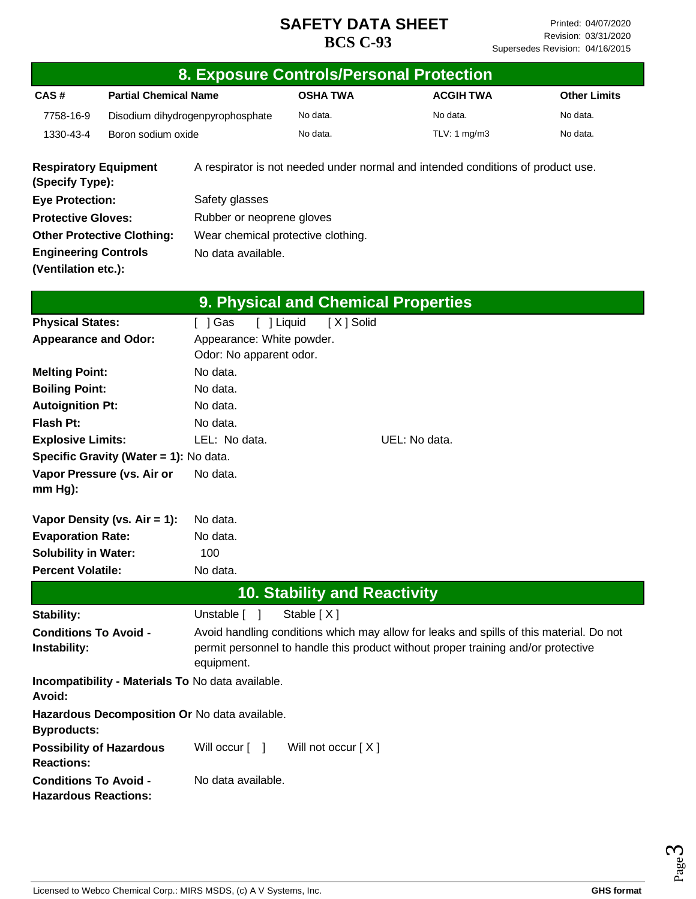|                                                             |                                        |                                                                                                                                                                                            |                                     | 8. Exposure Controls/Personal Protection                                        |                     |  |
|-------------------------------------------------------------|----------------------------------------|--------------------------------------------------------------------------------------------------------------------------------------------------------------------------------------------|-------------------------------------|---------------------------------------------------------------------------------|---------------------|--|
| CAS#                                                        | <b>Partial Chemical Name</b>           |                                                                                                                                                                                            | <b>OSHA TWA</b>                     | <b>ACGIH TWA</b>                                                                | <b>Other Limits</b> |  |
| 7758-16-9                                                   | Disodium dihydrogenpyrophosphate       |                                                                                                                                                                                            | No data.                            | No data.                                                                        | No data.            |  |
| 1330-43-4                                                   | Boron sodium oxide                     |                                                                                                                                                                                            | No data.                            | TLV: 1 mg/m3                                                                    | No data.            |  |
| <b>Respiratory Equipment</b><br>(Specify Type):             |                                        |                                                                                                                                                                                            |                                     | A respirator is not needed under normal and intended conditions of product use. |                     |  |
| <b>Eye Protection:</b>                                      |                                        | Safety glasses                                                                                                                                                                             |                                     |                                                                                 |                     |  |
| <b>Protective Gloves:</b>                                   |                                        | Rubber or neoprene gloves                                                                                                                                                                  |                                     |                                                                                 |                     |  |
| <b>Other Protective Clothing:</b>                           |                                        | Wear chemical protective clothing.                                                                                                                                                         |                                     |                                                                                 |                     |  |
| <b>Engineering Controls</b>                                 |                                        | No data available.                                                                                                                                                                         |                                     |                                                                                 |                     |  |
| (Ventilation etc.):                                         |                                        |                                                                                                                                                                                            |                                     |                                                                                 |                     |  |
|                                                             |                                        |                                                                                                                                                                                            |                                     | 9. Physical and Chemical Properties                                             |                     |  |
| <b>Physical States:</b>                                     |                                        | $[$ ] Gas                                                                                                                                                                                  | [ ] Liquid<br>[X] Solid             |                                                                                 |                     |  |
| <b>Appearance and Odor:</b>                                 |                                        | Appearance: White powder.                                                                                                                                                                  |                                     |                                                                                 |                     |  |
|                                                             |                                        | Odor: No apparent odor.                                                                                                                                                                    |                                     |                                                                                 |                     |  |
| <b>Melting Point:</b>                                       |                                        | No data.                                                                                                                                                                                   |                                     |                                                                                 |                     |  |
| <b>Boiling Point:</b>                                       |                                        | No data.                                                                                                                                                                                   |                                     |                                                                                 |                     |  |
| <b>Autoignition Pt:</b>                                     |                                        | No data.                                                                                                                                                                                   |                                     |                                                                                 |                     |  |
| Flash Pt:                                                   |                                        | No data.                                                                                                                                                                                   |                                     |                                                                                 |                     |  |
| <b>Explosive Limits:</b>                                    |                                        | LEL: No data.                                                                                                                                                                              |                                     | UEL: No data.                                                                   |                     |  |
|                                                             | Specific Gravity (Water = 1): No data. |                                                                                                                                                                                            |                                     |                                                                                 |                     |  |
| $mm Hg$ :                                                   | Vapor Pressure (vs. Air or             | No data.                                                                                                                                                                                   |                                     |                                                                                 |                     |  |
|                                                             | Vapor Density (vs. $Air = 1$ ):        | No data.                                                                                                                                                                                   |                                     |                                                                                 |                     |  |
| <b>Evaporation Rate:</b>                                    |                                        | No data.                                                                                                                                                                                   |                                     |                                                                                 |                     |  |
| <b>Solubility in Water:</b>                                 |                                        | 100                                                                                                                                                                                        |                                     |                                                                                 |                     |  |
| <b>Percent Volatile:</b>                                    |                                        | No data.                                                                                                                                                                                   |                                     |                                                                                 |                     |  |
|                                                             |                                        |                                                                                                                                                                                            | <b>10. Stability and Reactivity</b> |                                                                                 |                     |  |
| Stability:                                                  |                                        | Unstable [ ]                                                                                                                                                                               | Stable [X]                          |                                                                                 |                     |  |
| <b>Conditions To Avoid -</b><br>Instability:                |                                        | Avoid handling conditions which may allow for leaks and spills of this material. Do not<br>permit personnel to handle this product without proper training and/or protective<br>equipment. |                                     |                                                                                 |                     |  |
| Avoid:                                                      |                                        | Incompatibility - Materials To No data available.                                                                                                                                          |                                     |                                                                                 |                     |  |
| <b>Byproducts:</b>                                          |                                        | Hazardous Decomposition Or No data available.                                                                                                                                              |                                     |                                                                                 |                     |  |
| <b>Reactions:</b>                                           | <b>Possibility of Hazardous</b>        | Will occur [ ]                                                                                                                                                                             | Will not occur [X]                  |                                                                                 |                     |  |
| <b>Conditions To Avoid -</b><br><b>Hazardous Reactions:</b> |                                        | No data available.                                                                                                                                                                         |                                     |                                                                                 |                     |  |